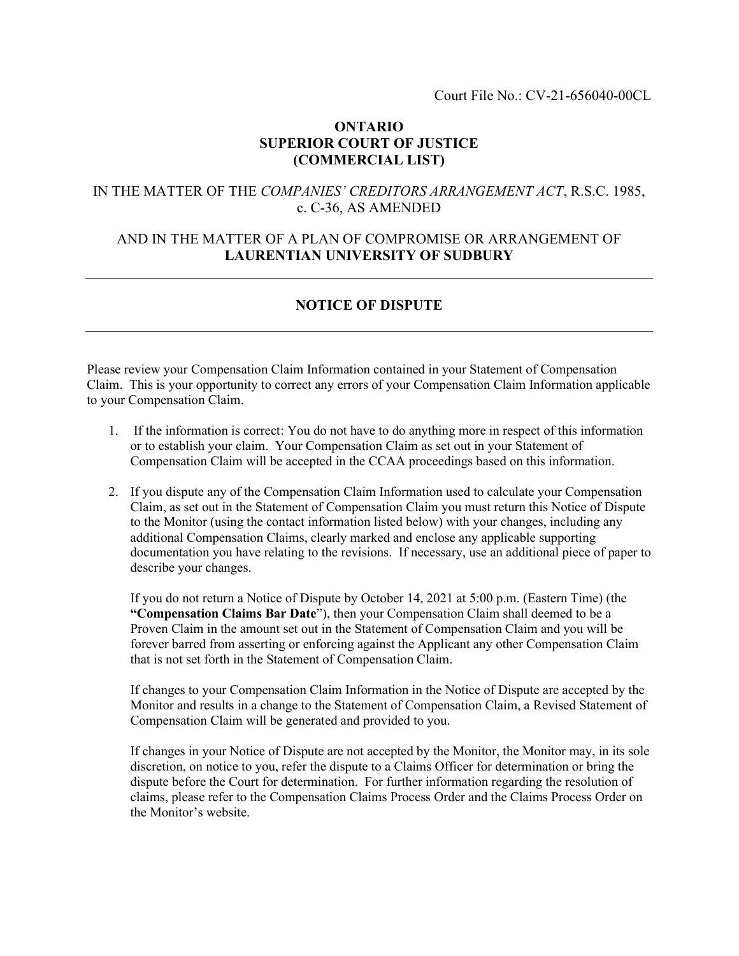### ONTARIO SUPERIOR COURT OF JUSTICE (COMMERCIAL LIST)

### IN THE MATTER OF THE COMPANIES' CREDITORS ARRANGEMENT ACT, R.S.C. 1985, c. C-36, AS AMENDED

# AND IN THE MATTER OF A PLAN OF COMPROMISE OR ARRANGEMENT OF LAURENTIAN UNIVERSITY OF SUDBURY

# NOTICE OF DISPUTE

Please review your Compensation Claim Information contained in your Statement of Compensation Claim. This is your opportunity to correct any errors of your Compensation Claim Information applicable to your Compensation Claim.

- 1. If the information is correct: You do not have to do anything more in respect of this information or to establish your claim. Your Compensation Claim as set out in your Statement of Compensation Claim will be accepted in the CCAA proceedings based on this information.
- 2. If you dispute any of the Compensation Claim Information used to calculate your Compensation Claim, as set out in the Statement of Compensation Claim you must return this Notice of Dispute to the Monitor (using the contact information listed below) with your changes, including any additional Compensation Claims, clearly marked and enclose any applicable supporting documentation you have relating to the revisions. If necessary, use an additional piece of paper to describe your changes.

If you do not return a Notice of Dispute by October 14, 2021 at 5:00 p.m. (Eastern Time) (the "Compensation Claims Bar Date"), then your Compensation Claim shall deemed to be a Proven Claim in the amount set out in the Statement of Compensation Claim and you will be forever barred from asserting or enforcing against the Applicant any other Compensation Claim that is not set forth in the Statement of Compensation Claim.

If changes to your Compensation Claim Information in the Notice of Dispute are accepted by the Monitor and results in a change to the Statement of Compensation Claim, a Revised Statement of Compensation Claim will be generated and provided to you.

If changes in your Notice of Dispute are not accepted by the Monitor, the Monitor may, in its sole discretion, on notice to you, refer the dispute to a Claims Officer for determination or bring the dispute before the Court for determination. For further information regarding the resolution of claims, please refer to the Compensation Claims Process Order and the Claims Process Order on the Monitor's website.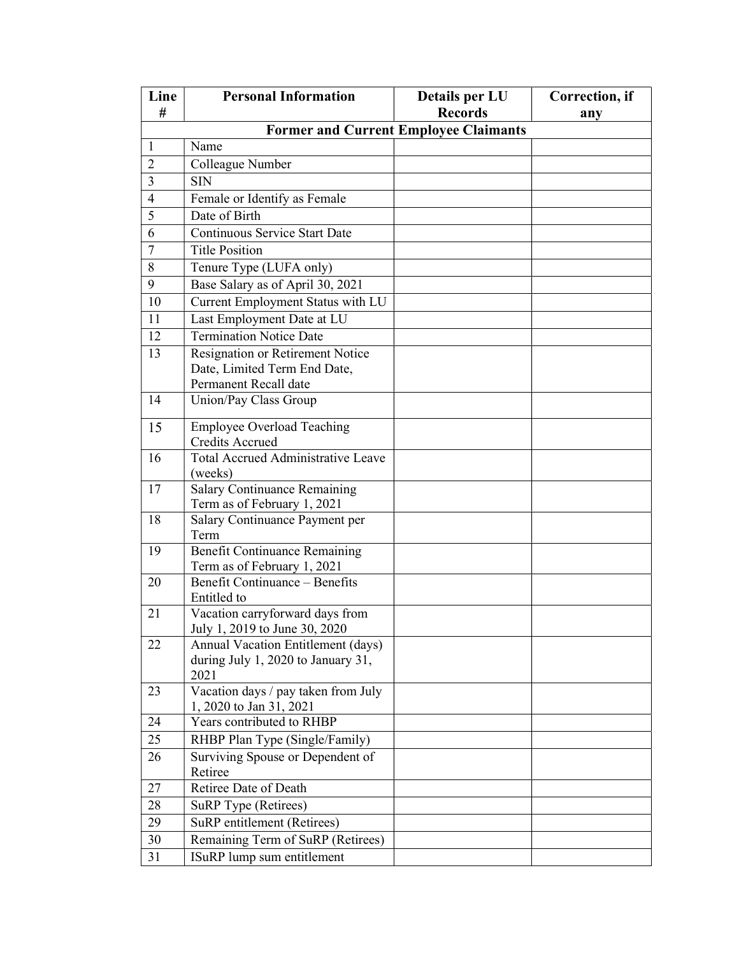| Line           | <b>Personal Information</b>                                         | Details per LU                               | Correction, if |
|----------------|---------------------------------------------------------------------|----------------------------------------------|----------------|
| #              |                                                                     | <b>Records</b>                               | any            |
|                |                                                                     | <b>Former and Current Employee Claimants</b> |                |
| 1              | Name                                                                |                                              |                |
| $\overline{2}$ | Colleague Number                                                    |                                              |                |
| 3              | <b>SIN</b>                                                          |                                              |                |
| $\overline{4}$ | Female or Identify as Female                                        |                                              |                |
| 5              | Date of Birth                                                       |                                              |                |
| 6              | Continuous Service Start Date                                       |                                              |                |
| $\overline{7}$ | <b>Title Position</b>                                               |                                              |                |
| 8              | Tenure Type (LUFA only)                                             |                                              |                |
| 9              | Base Salary as of April 30, 2021                                    |                                              |                |
| 10             | Current Employment Status with LU                                   |                                              |                |
| 11             | Last Employment Date at LU                                          |                                              |                |
| 12             | <b>Termination Notice Date</b>                                      |                                              |                |
| 13             | Resignation or Retirement Notice                                    |                                              |                |
|                | Date, Limited Term End Date,                                        |                                              |                |
|                | Permanent Recall date                                               |                                              |                |
| 14             | Union/Pay Class Group                                               |                                              |                |
| 15             | <b>Employee Overload Teaching</b>                                   |                                              |                |
|                | <b>Credits Accrued</b>                                              |                                              |                |
| 16             | Total Accrued Administrative Leave                                  |                                              |                |
|                | (weeks)                                                             |                                              |                |
| 17             | <b>Salary Continuance Remaining</b><br>Term as of February 1, 2021  |                                              |                |
| 18             | Salary Continuance Payment per<br>Term                              |                                              |                |
| 19             | <b>Benefit Continuance Remaining</b><br>Term as of February 1, 2021 |                                              |                |
| 20             | <b>Benefit Continuance – Benefits</b>                               |                                              |                |
|                | Entitled to                                                         |                                              |                |
| 21             | Vacation carryforward days from<br>July 1, 2019 to June 30, 2020    |                                              |                |
| 22             | Annual Vacation Entitlement (days)                                  |                                              |                |
|                | during July 1, 2020 to January 31,<br>2021                          |                                              |                |
| 23             | Vacation days / pay taken from July                                 |                                              |                |
|                | 1, 2020 to Jan 31, 2021                                             |                                              |                |
| 24             | Years contributed to RHBP                                           |                                              |                |
| 25             | RHBP Plan Type (Single/Family)                                      |                                              |                |
| 26             | Surviving Spouse or Dependent of                                    |                                              |                |
|                | Retiree                                                             |                                              |                |
| 27             | Retiree Date of Death                                               |                                              |                |
| 28             | SuRP Type (Retirees)                                                |                                              |                |
| 29             | SuRP entitlement (Retirees)                                         |                                              |                |
| 30             | Remaining Term of SuRP (Retirees)                                   |                                              |                |
| 31             | ISuRP lump sum entitlement                                          |                                              |                |